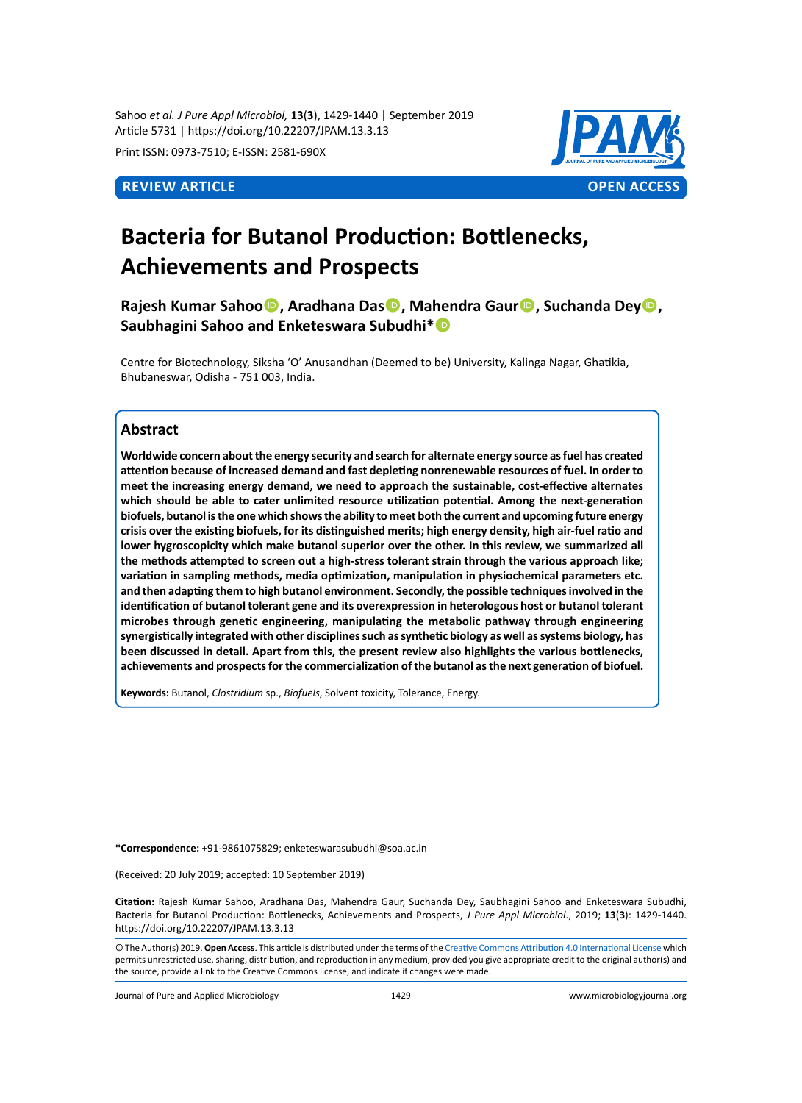Sahoo *et al. J Pure Appl Microbiol,* **13**(**3**), 1429-1440 | September 2019 Article 5731 | https://doi.org/10.22207/JPAM.13.3.13

Print ISSN: 0973-7510; E-ISSN: 2581-690X



# **Bacteria for Butanol Production: Bottlenecks, Achievements and Prospects**

**Rajesh Kumar Sahoo, Aradhana Das, Mahendra Gaur, Suchanda Dey, Saubhagini Sahoo and Enketeswara Subudhi\***

Centre for Biotechnology, Siksha 'O' Anusandhan (Deemed to be) University, Kalinga Nagar, Ghatikia, Bhubaneswar, Odisha - 751 003, India.

# **Abstract**

**Worldwide concern about the energy security and search for alternate energy source as fuel has created attention because of increased demand and fast depleting nonrenewable resources of fuel. In order to meet the increasing energy demand, we need to approach the sustainable, cost-effective alternates which should be able to cater unlimited resource utilization potential. Among the next-generation biofuels, butanol is the one which shows the ability to meet both the current and upcoming future energy crisis over the existing biofuels, for its distinguished merits; high energy density, high air-fuel ratio and lower hygroscopicity which make butanol superior over the other. In this review, we summarized all the methods attempted to screen out a high-stress tolerant strain through the various approach like; variation in sampling methods, media optimization, manipulation in physiochemical parameters etc. and then adapting them to high butanol environment. Secondly, the possible techniques involved in the identification of butanol tolerant gene and its overexpression in heterologous host or butanol tolerant microbes through genetic engineering, manipulating the metabolic pathway through engineering synergistically integrated with other disciplines such as synthetic biology as well as systems biology, has been discussed in detail. Apart from this, the present review also highlights the various bottlenecks, achievements and prospects for the commercialization of the butanol as the next generation of biofuel.**

**Keywords:** Butanol, *Clostridium* sp., *Biofuels*, Solvent toxicity, Tolerance, Energy.

**\*Correspondence:** +91-9861075829; enketeswarasubudhi@soa.ac.in

(Received: 20 July 2019; accepted: 10 September 2019)

**Citation:** Rajesh Kumar Sahoo, Aradhana Das, Mahendra Gaur, Suchanda Dey, Saubhagini Sahoo and Enketeswara Subudhi, Bacteria for Butanol Production: Bottlenecks, Achievements and Prospects, *J Pure Appl Microbiol*., 2019; **13**(**3**): 1429-1440. https://doi.org/10.22207/JPAM.13.3.13

© The Author(s) 2019. **Open Access**. This article is distributed under the terms of the [Creative Commons Attribution 4.0 International License](https://creativecommons.org/licenses/by/4.0/) which permits unrestricted use, sharing, distribution, and reproduction in any medium, provided you give appropriate credit to the original author(s) and the source, provide a link to the Creative Commons license, and indicate if changes were made.

Journal of Pure and Applied Microbiology 1429 www.microbiologyjournal.org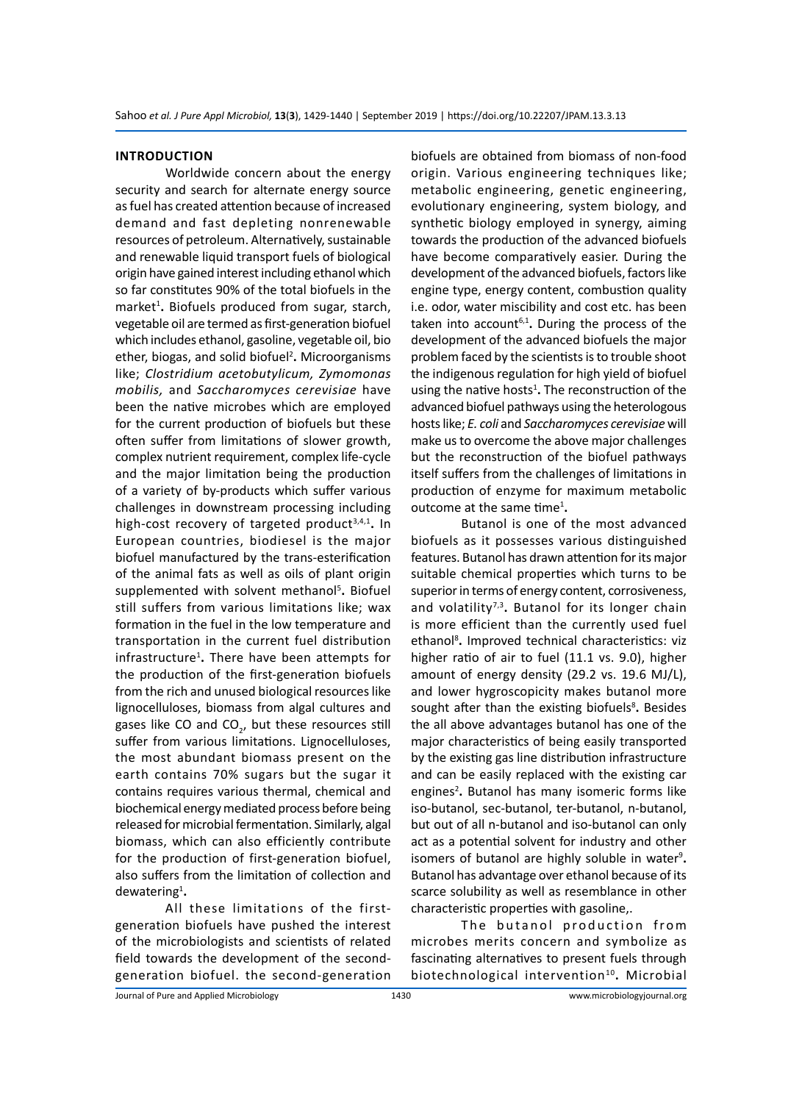#### **Introduction**

Worldwide concern about the energy security and search for alternate energy source as fuel has created attention because of increased demand and fast depleting nonrenewable resources of petroleum. Alternatively, sustainable and renewable liquid transport fuels of biological origin have gained interest including ethanol which so far constitutes 90% of the total biofuels in the market<sup>1</sup>. Biofuels produced from sugar, starch, vegetable oil are termed as first-generation biofuel which includes ethanol, gasoline, vegetable oil, bio ether, biogas, and solid biofuel<sup>2</sup>. Microorganisms like; *Clostridium acetobutylicum, Zymomonas mobilis,* and *Saccharomyces cerevisiae* have been the native microbes which are employed for the current production of biofuels but these often suffer from limitations of slower growth, complex nutrient requirement, complex life-cycle and the major limitation being the production of a variety of by-products which suffer various challenges in downstream processing including high-cost recovery of targeted product<sup>3,4,1</sup>. In European countries, biodiesel is the major biofuel manufactured by the trans-esterification of the animal fats as well as oils of plant origin supplemented with solvent methanol<sup>5</sup>. Biofuel still suffers from various limitations like; wax formation in the fuel in the low temperature and transportation in the current fuel distribution infrastructure<sup>1</sup>. There have been attempts for the production of the first-generation biofuels from the rich and unused biological resources like lignocelluloses, biomass from algal cultures and gases like CO and CO<sub>2</sub>, but these resources still suffer from various limitations. Lignocelluloses, the most abundant biomass present on the earth contains 70% sugars but the sugar it contains requires various thermal, chemical and biochemical energy mediated process before being released for microbial fermentation. Similarly, algal biomass, which can also efficiently contribute for the production of first-generation biofuel, also suffers from the limitation of collection and dewatering<sup>1</sup>.

All these limitations of the firstgeneration biofuels have pushed the interest of the microbiologists and scientists of related field towards the development of the secondgeneration biofuel. the second-generation biofuels are obtained from biomass of non-food origin. Various engineering techniques like; metabolic engineering, genetic engineering, evolutionary engineering, system biology, and synthetic biology employed in synergy, aiming towards the production of the advanced biofuels have become comparatively easier. During the development of the advanced biofuels, factors like engine type, energy content, combustion quality i.e. odor, water miscibility and cost etc. has been taken into account<sup>6,1</sup>. During the process of the development of the advanced biofuels the major problem faced by the scientists is to trouble shoot the indigenous regulation for high yield of biofuel using the native hosts<sup>1</sup>. The reconstruction of the advanced biofuel pathways using the heterologous hosts like; *E. coli* and *Saccharomyces cerevisiae* will make us to overcome the above major challenges but the reconstruction of the biofuel pathways itself suffers from the challenges of limitations in production of enzyme for maximum metabolic outcome at the same time<sup>1</sup>.

Butanol is one of the most advanced biofuels as it possesses various distinguished features. Butanol has drawn attention for its major suitable chemical properties which turns to be superior in terms of energy content, corrosiveness, and volatility<sup>7,3</sup>. Butanol for its longer chain is more efficient than the currently used fuel ethanol<sup>8</sup>. Improved technical characteristics: viz higher ratio of air to fuel (11.1 vs. 9.0), higher amount of energy density (29.2 vs. 19.6 MJ/L), and lower hygroscopicity makes butanol more sought after than the existing biofuels<sup>8</sup>. Besides the all above advantages butanol has one of the major characteristics of being easily transported by the existing gas line distribution infrastructure and can be easily replaced with the existing car engines<sup>2</sup>. Butanol has many isomeric forms like iso-butanol, sec-butanol, ter-butanol, n-butanol, but out of all n-butanol and iso-butanol can only act as a potential solvent for industry and other isomers of butanol are highly soluble in water<sup>9</sup>. Butanol has advantage over ethanol because of its scarce solubility as well as resemblance in other characteristic properties with gasoline,.

The butanol production from microbes merits concern and symbolize as fascinating alternatives to present fuels through biotechnological intervention<sup>10</sup>. Microbial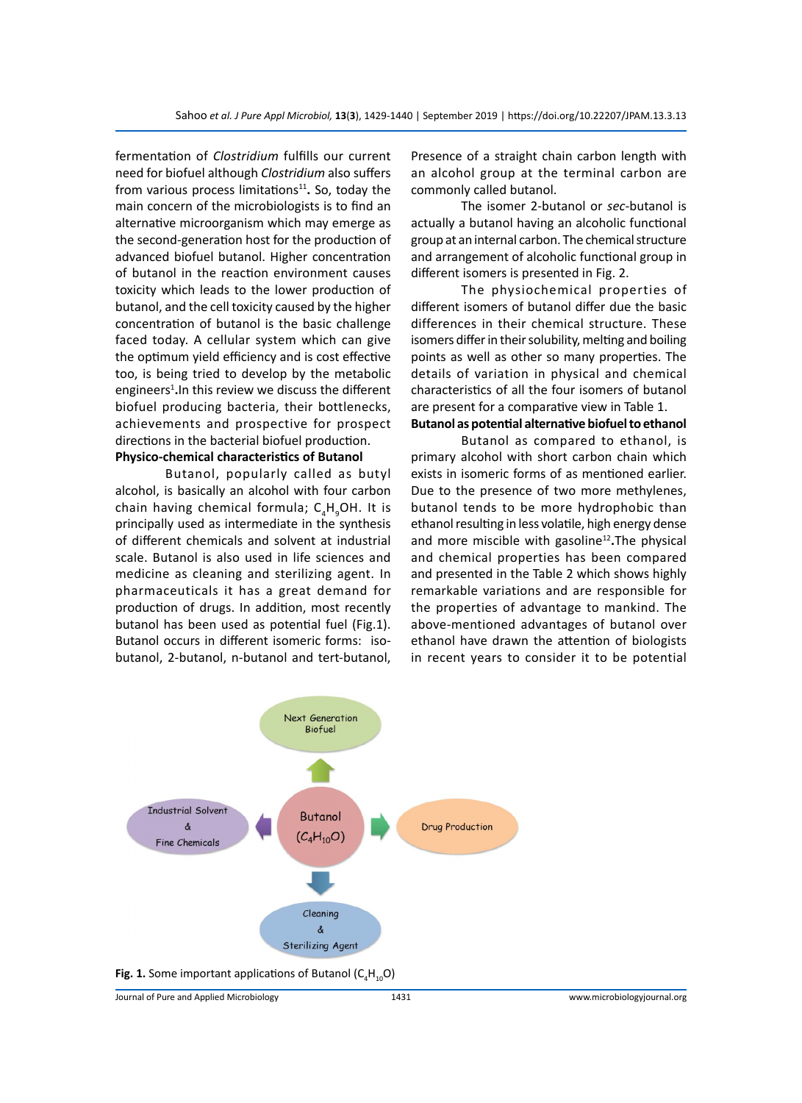fermentation of *Clostridium* fulfills our current need for biofuel although *Clostridium* also suffers from various process limitations<sup>11</sup>. So, today the main concern of the microbiologists is to find an alternative microorganism which may emerge as the second-generation host for the production of advanced biofuel butanol. Higher concentration of butanol in the reaction environment causes toxicity which leads to the lower production of butanol, and the cell toxicity caused by the higher concentration of butanol is the basic challenge faced today. A cellular system which can give the optimum yield efficiency and is cost effective too, is being tried to develop by the metabolic engineers<sup>1</sup>. In this review we discuss the different biofuel producing bacteria, their bottlenecks, achievements and prospective for prospect directions in the bacterial biofuel production. **Physico-chemical characteristics of Butanol**

Butanol, popularly called as butyl alcohol, is basically an alcohol with four carbon chain having chemical formula; C<sub>4</sub>H<sub>9</sub>OH. It is principally used as intermediate in the synthesis of different chemicals and solvent at industrial scale. Butanol is also used in life sciences and medicine as cleaning and sterilizing agent. In pharmaceuticals it has a great demand for production of drugs. In addition, most recently butanol has been used as potential fuel (Fig.1). Butanol occurs in different isomeric forms: isobutanol, 2-butanol, n-butanol and tert-butanol,

Presence of a straight chain carbon length with an alcohol group at the terminal carbon are commonly called butanol.

The isomer 2-butanol or *sec*-butanol is actually a butanol having an alcoholic functional group at an internal carbon. The chemical structure and arrangement of alcoholic functional group in different isomers is presented in Fig. 2.

The physiochemical properties of different isomers of butanol differ due the basic differences in their chemical structure. These isomers differ in their solubility, melting and boiling points as well as other so many properties. The details of variation in physical and chemical characteristics of all the four isomers of butanol are present for a comparative view in Table 1.

# **Butanol as potential alternative biofuel to ethanol**

Butanol as compared to ethanol, is primary alcohol with short carbon chain which exists in isomeric forms of as mentioned earlier. Due to the presence of two more methylenes, butanol tends to be more hydrophobic than ethanol resulting in less volatile, high energy dense and more miscible with gasoline<sup>12</sup>. The physical and chemical properties has been compared and presented in the Table 2 which shows highly remarkable variations and are responsible for the properties of advantage to mankind. The above-mentioned advantages of butanol over ethanol have drawn the attention of biologists in recent years to consider it to be potential



Journal of Pure and Applied Microbiology 1431 www.microbiologyjournal.org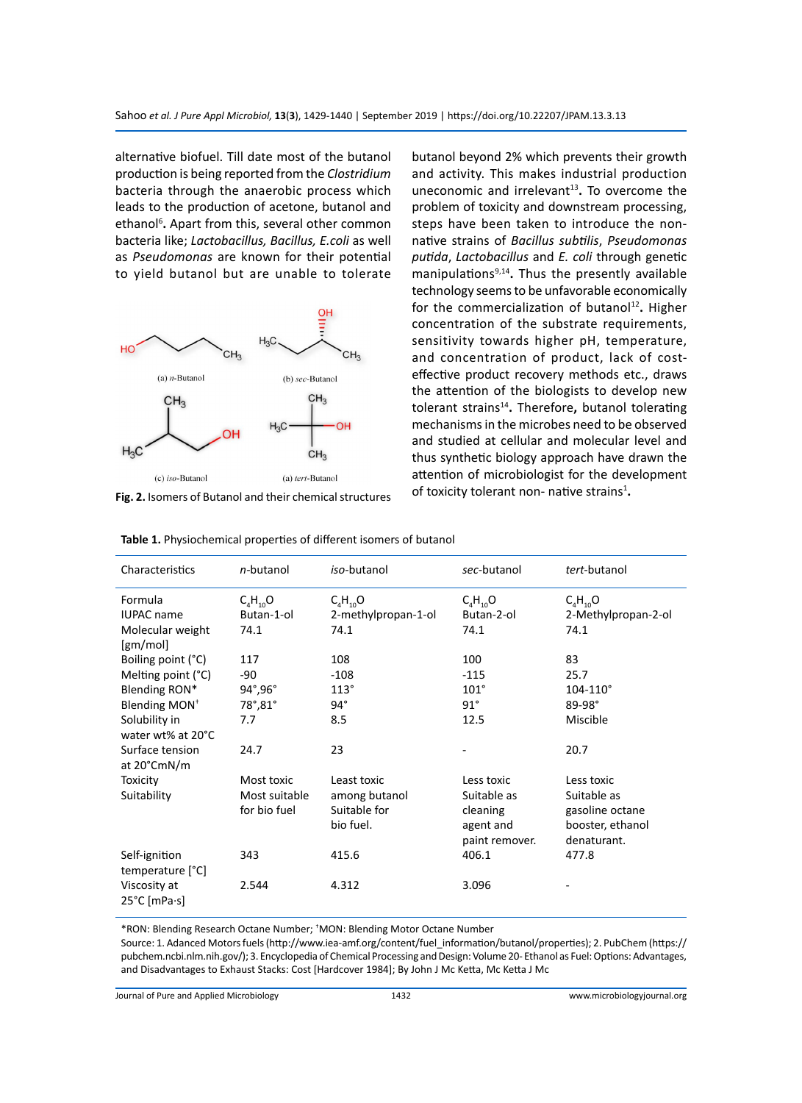alternative biofuel. Till date most of the butanol production is being reported from the *Clostridium* bacteria through the anaerobic process which leads to the production of acetone, butanol and ethanol<sup>6</sup>. Apart from this, several other common bacteria like; *Lactobacillus, Bacillus, E.coli* as well as *Pseudomonas* are known for their potential to yield butanol but are unable to tolerate



**Fig. 2.** Isomers of Butanol and their chemical structures

butanol beyond 2% which prevents their growth and activity. This makes industrial production uneconomic and irrelevant<sup>13</sup>. To overcome the problem of toxicity and downstream processing, steps have been taken to introduce the nonnative strains of *Bacillus subtilis*, *Pseudomonas putida*, *Lactobacillus* and *E. coli* through genetic manipulations9,14**.** Thus the presently available technology seems to be unfavorable economically for the commercialization of butanol<sup>12</sup>. Higher concentration of the substrate requirements, sensitivity towards higher pH, temperature, and concentration of product, lack of costeffective product recovery methods etc., draws the attention of the biologists to develop new tolerant strains14**.** Therefore**,** butanol tolerating mechanisms in the microbes need to be observed and studied at cellular and molecular level and thus synthetic biology approach have drawn the attention of microbiologist for the development of toxicity tolerant non- native strains<sup>1</sup>.

| Characteristics                                                                                         | n-butanol                                            | iso-butanol                                               | sec-butanol                                                          | tert-butanol                                                                    |
|---------------------------------------------------------------------------------------------------------|------------------------------------------------------|-----------------------------------------------------------|----------------------------------------------------------------------|---------------------------------------------------------------------------------|
| Formula<br><b>IUPAC</b> name<br>Molecular weight<br>$\left[\text{gm/mol}\right]$                        | $C_4H_{10}O$<br>Butan-1-ol<br>74.1                   | $C_4H_{10}O$<br>2-methylpropan-1-ol<br>74.1               | $C_4H_{10}O$<br>Butan-2-ol<br>74.1                                   | $C_4H_{10}O$<br>2-Methylpropan-2-ol<br>74.1                                     |
| Boiling point (°C)<br>Melting point (°C)<br>Blending RON*<br>Blending MON <sup>+</sup><br>Solubility in | 117<br>-90<br>$94^\circ, 96^\circ$<br>78°,81°<br>7.7 | 108<br>$-108$<br>113°<br>$94^\circ$<br>8.5                | 100<br>$-115$<br>$101^\circ$<br>$91^\circ$<br>12.5                   | 83<br>25.7<br>$104 - 110^{\circ}$<br>89-98°<br>Miscible                         |
| water wt% at 20°C<br>Surface tension<br>at 20°CmN/m                                                     | 24.7                                                 | 23                                                        |                                                                      | 20.7                                                                            |
| Toxicity<br>Suitability                                                                                 | Most toxic<br>Most suitable<br>for bio fuel          | Least toxic<br>among butanol<br>Suitable for<br>bio fuel. | Less toxic<br>Suitable as<br>cleaning<br>agent and<br>paint remover. | Less toxic<br>Suitable as<br>gasoline octane<br>booster, ethanol<br>denaturant. |
| Self-ignition<br>temperature [°C]                                                                       | 343                                                  | 415.6                                                     | 406.1                                                                | 477.8                                                                           |
| Viscosity at<br>25°C [mPa∙s]                                                                            | 2.544                                                | 4.312                                                     | 3.096                                                                |                                                                                 |

**Table 1.** Physiochemical properties of different isomers of butanol

\*RON: Blending Research Octane Number; † MON: Blending Motor Octane Number

Source: 1. Adanced Motors fuels (http://www.iea-amf.org/content/fuel\_information/butanol/properties); 2. PubChem (https:// pubchem.ncbi.nlm.nih.gov/); 3. Encyclopedia of Chemical Processing and Design: Volume 20- Ethanol as Fuel: Options: Advantages, and Disadvantages to Exhaust Stacks: Cost [Hardcover 1984]; By John J Mc Ketta, Mc Ketta J Mc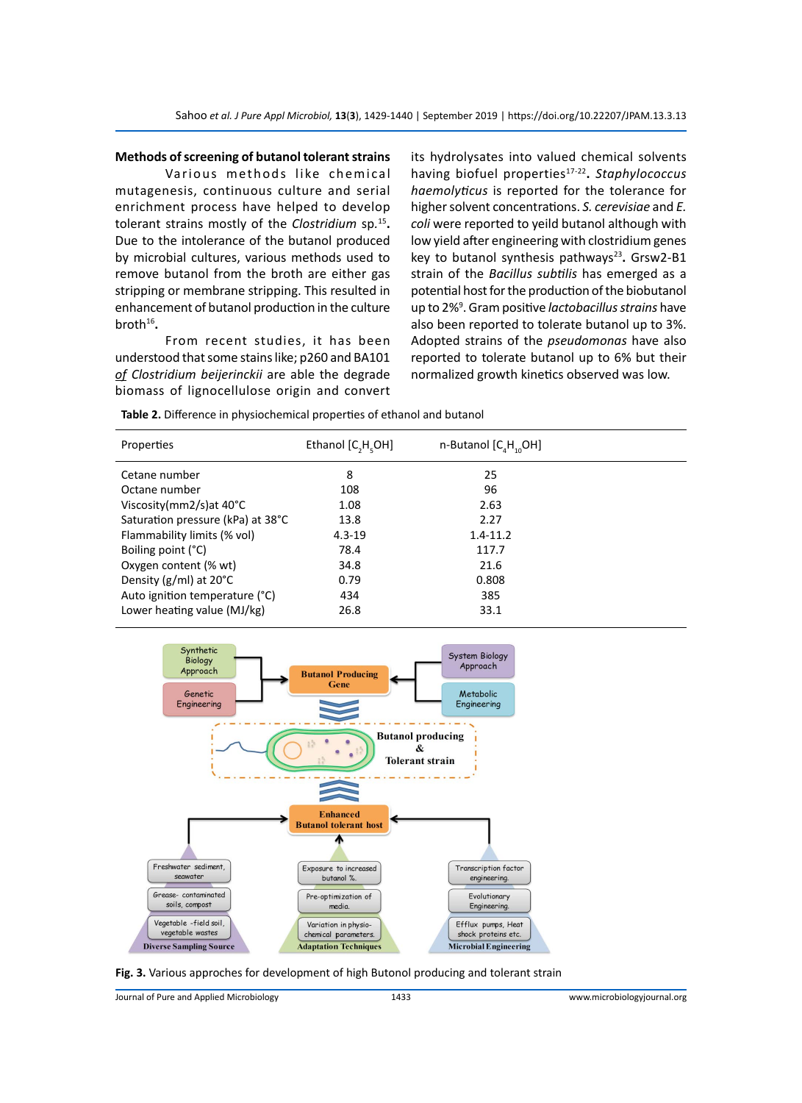#### **Methods of screening of butanol tolerant strains**

Various methods like chemical mutagenesis, continuous culture and serial enrichment process have helped to develop tolerant strains mostly of the *Clostridium* sp*.* <sup>15</sup>**.**  Due to the intolerance of the butanol produced by microbial cultures, various methods used to remove butanol from the broth are either gas stripping or membrane stripping. This resulted in enhancement of butanol production in the culture broth16**.**

From recent studies, it has been understood that some stains like; p260 and BA101 *of Clostridium beijerinckii* are able the degrade biomass of lignocellulose origin and convert its hydrolysates into valued chemical solvents having biofuel properties17-22**.** *Staphylococcus haemolyticus* is reported for the tolerance for higher solvent concentrations. *S. cerevisiae* and *E. coli* were reported to yeild butanol although with low yield after engineering with clostridium genes key to butanol synthesis pathways<sup>23</sup>. Grsw2-B1 strain of the *Bacillus subtilis* has emerged as a potential host for the production of the biobutanol up to 2%<sup>9</sup> . Gram positive *lactobacillus strains* have also been reported to tolerate butanol up to 3%. Adopted strains of the *pseudomonas* have also reported to tolerate butanol up to 6% but their normalized growth kinetics observed was low.

| Properties                        | Ethanol [C,H,OH] | n-Butanol $[C_{A}H_{A}OH]$ |  |
|-----------------------------------|------------------|----------------------------|--|
| Cetane number                     | 8                | 25                         |  |
| Octane number                     | 108              | 96                         |  |
| Viscosity(mm2/s)at $40^{\circ}$ C | 1.08             | 2.63                       |  |
| Saturation pressure (kPa) at 38°C | 13.8             | 2.27                       |  |
| Flammability limits (% vol)       | $4.3 - 19$       | $1.4 - 11.2$               |  |
| Boiling point (°C)                | 78.4             | 117.7                      |  |
| Oxygen content (% wt)             | 34.8             | 21.6                       |  |
| Density ( $g/ml$ ) at 20 $°C$     | 0.79             | 0.808                      |  |
| Auto ignition temperature (°C)    | 434              | 385                        |  |
| Lower heating value (MJ/kg)       | 26.8             | 33.1                       |  |

**Table 2.** Difference in physiochemical properties of ethanol and butanol





Journal of Pure and Applied Microbiology 1433 www.microbiologyjournal.org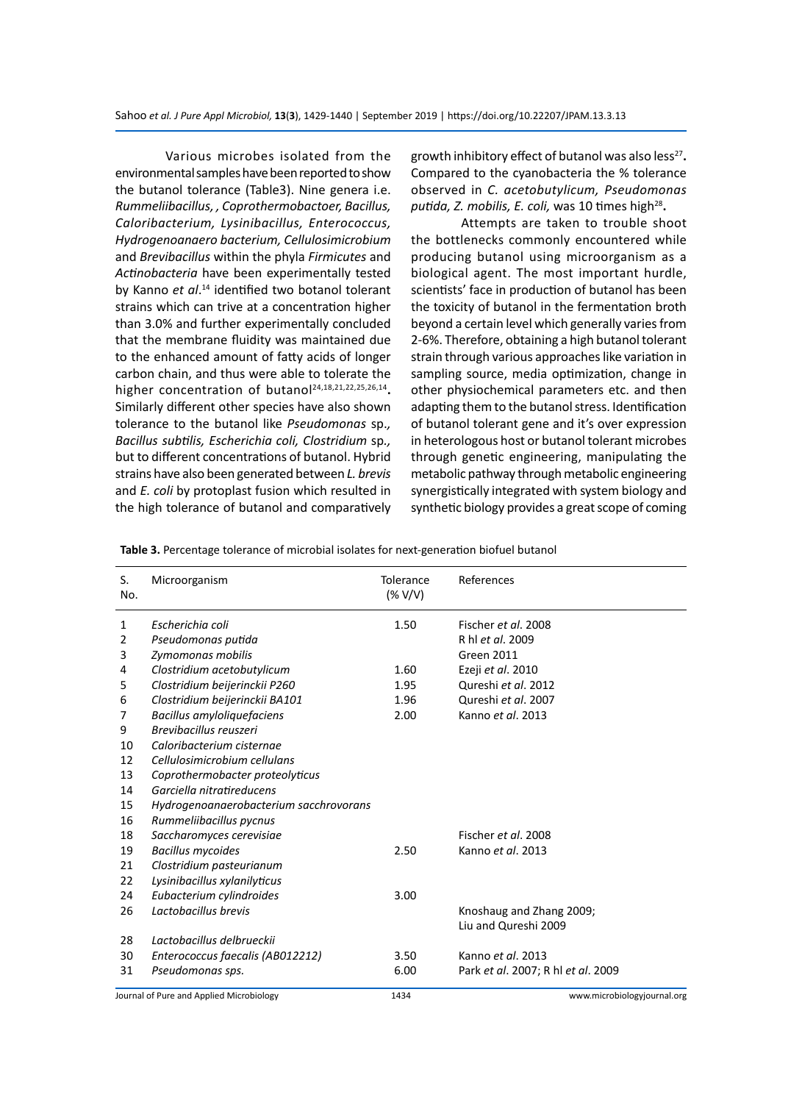Various microbes isolated from the environmental samples have been reported to show the butanol tolerance (Table3). Nine genera i.e. *Rummeliibacillus, , Coprothermobactoer, Bacillus, Caloribacterium, Lysinibacillus, Enterococcus, Hydrogenoanaero bacterium, Cellulosimicrobium*  and *Brevibacillus* within the phyla *Firmicutes* and *Actinobacteria* have been experimentally tested by Kanno *et al*. <sup>14</sup> identified two botanol tolerant strains which can trive at a concentration higher than 3.0% and further experimentally concluded that the membrane fluidity was maintained due to the enhanced amount of fatty acids of longer carbon chain, and thus were able to tolerate the higher concentration of butanol<sup>24,18,21,22,25,26,14</sup>. Similarly different other species have also shown tolerance to the butanol like *Pseudomonas* sp.*, Bacillus subtilis, Escherichia coli, Clostridium* sp*.,* but to different concentrations of butanol. Hybrid strains have also been generated between *L. brevis* and *E. coli* by protoplast fusion which resulted in the high tolerance of butanol and comparatively

growth inhibitory effect of butanol was also less<sup>27</sup>. Compared to the cyanobacteria the % tolerance observed in *C. acetobutylicum, Pseudomonas putida, Z. mobilis, E. coli, was 10 times high<sup>28</sup>.* 

Attempts are taken to trouble shoot the bottlenecks commonly encountered while producing butanol using microorganism as a biological agent. The most important hurdle, scientists' face in production of butanol has been the toxicity of butanol in the fermentation broth beyond a certain level which generally varies from 2-6%. Therefore, obtaining a high butanol tolerant strain through various approaches like variation in sampling source, media optimization, change in other physiochemical parameters etc. and then adapting them to the butanol stress. Identification of butanol tolerant gene and it's over expression in heterologous host or butanol tolerant microbes through genetic engineering, manipulating the metabolic pathway through metabolic engineering synergistically integrated with system biology and synthetic biology provides a great scope of coming

|  |  | <b>Table 3.</b> Percentage tolerance of microbial isolates for next-generation biofuel butanol |
|--|--|------------------------------------------------------------------------------------------------|
|--|--|------------------------------------------------------------------------------------------------|

| S.<br>No. | Microorganism                            | Tolerance<br>(% V/V) | References                                       |
|-----------|------------------------------------------|----------------------|--------------------------------------------------|
| 1         | Escherichia coli                         | 1.50                 | Fischer et al. 2008                              |
| 2         | Pseudomonas putida                       |                      | R hl et al. 2009                                 |
| 3         | Zymomonas mobilis                        |                      | <b>Green 2011</b>                                |
| 4         | Clostridium acetobutylicum               | 1.60                 | Ezeji et al. 2010                                |
| 5         | Clostridium beijerinckii P260            | 1.95                 | Qureshi et al. 2012                              |
| 6         | Clostridium beijerinckii BA101           | 1.96                 | Qureshi et al. 2007                              |
| 7         | <b>Bacillus amyloliquefaciens</b>        | 2.00                 | Kanno et al. 2013                                |
| 9         | Brevibacillus reuszeri                   |                      |                                                  |
| 10        | Caloribacterium cisternae                |                      |                                                  |
| 12        | Cellulosimicrobium cellulans             |                      |                                                  |
| 13        | Coprothermobacter proteolyticus          |                      |                                                  |
| 14        | Garciella nitratireducens                |                      |                                                  |
| 15        | Hydrogenoanaerobacterium sacchrovorans   |                      |                                                  |
| 16        | Rummeliibacillus pycnus                  |                      |                                                  |
| 18        | Saccharomyces cerevisiae                 |                      | Fischer et al. 2008                              |
| 19        | <b>Bacillus mycoides</b>                 | 2.50                 | Kanno et al. 2013                                |
| 21        | Clostridium pasteurianum                 |                      |                                                  |
| 22        | Lysinibacillus xylanilyticus             |                      |                                                  |
| 24        | Eubacterium cylindroides                 | 3.00                 |                                                  |
| 26        | Lactobacillus brevis                     |                      | Knoshaug and Zhang 2009;<br>Liu and Qureshi 2009 |
| 28        | Lactobacillus delbrueckii                |                      |                                                  |
| 30        | Enterococcus faecalis (AB012212)         | 3.50                 | Kanno et al. 2013                                |
| 31        | Pseudomonas sps.                         | 6.00                 | Park et al. 2007; R hl et al. 2009               |
|           | Journal of Pure and Applied Microbiology | 1434                 | www.microbiologyjournal.org                      |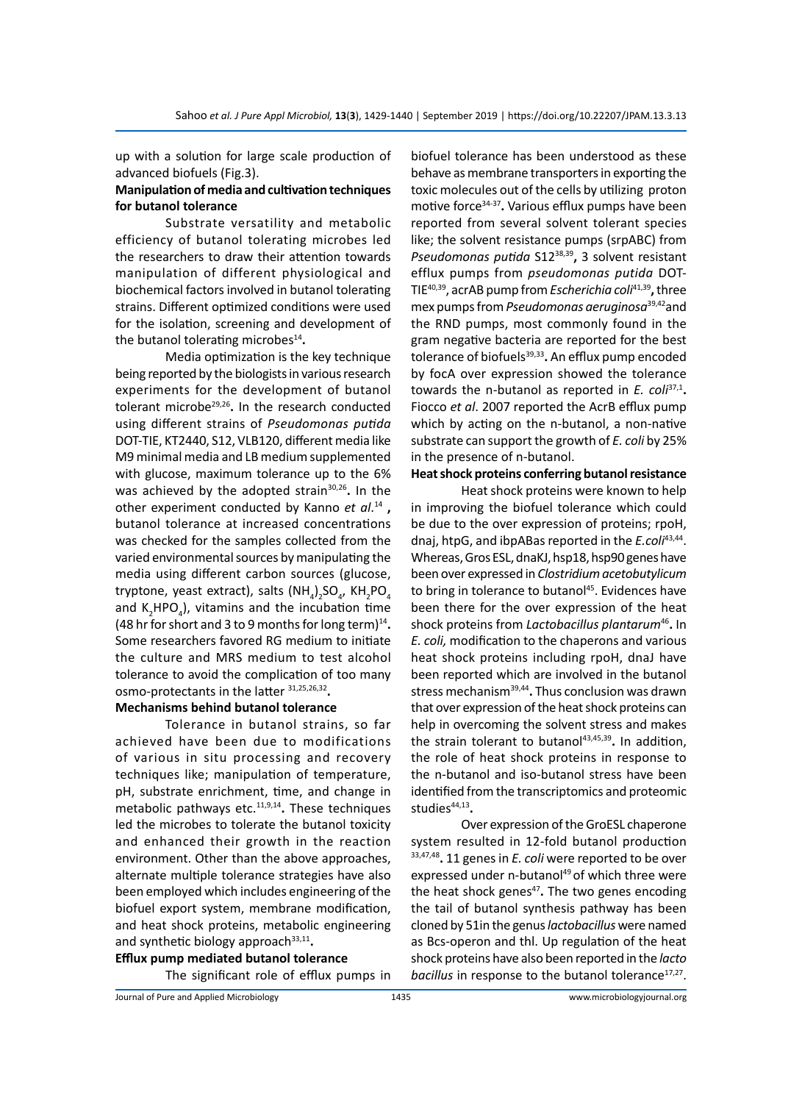up with a solution for large scale production of advanced biofuels (Fig.3).

## **Manipulation of media and cultivation techniques for butanol tolerance**

Substrate versatility and metabolic efficiency of butanol tolerating microbes led the researchers to draw their attention towards manipulation of different physiological and biochemical factors involved in butanol tolerating strains. Different optimized conditions were used for the isolation, screening and development of the butanol tolerating microbes<sup>14</sup>**.**

Media optimization is the key technique being reported by the biologists in various research experiments for the development of butanol tolerant microbe29,26**.** In the research conducted using different strains of *Pseudomonas putida* DOT-TIE, KT2440, S12, VLB120, different media like M9 minimal media and LB medium supplemented with glucose, maximum tolerance up to the 6% was achieved by the adopted strain<sup>30,26</sup>. In the other experiment conducted by Kanno *et al*. <sup>14</sup> **,**  butanol tolerance at increased concentrations was checked for the samples collected from the varied environmental sources by manipulating the media using different carbon sources (glucose, tryptone, yeast extract), salts (NH<sub>4</sub>)<sub>2</sub>SO<sub>4</sub>, KH<sub>2</sub>PO<sub>4</sub> and  $K_2$ HPO<sub>4</sub>), vitamins and the incubation time (48 hr for short and 3 to 9 months for long term)<sup>14</sup>**.**  Some researchers favored RG medium to initiate the culture and MRS medium to test alcohol tolerance to avoid the complication of too many osmo-protectants in the latter 31,25,26,32**.**

#### **Mechanisms behind butanol tolerance**

Tolerance in butanol strains, so far achieved have been due to modifications of various in situ processing and recovery techniques like; manipulation of temperature, pH, substrate enrichment, time, and change in metabolic pathways etc.11,9,14**.** These techniques led the microbes to tolerate the butanol toxicity and enhanced their growth in the reaction environment. Other than the above approaches, alternate multiple tolerance strategies have also been employed which includes engineering of the biofuel export system, membrane modification, and heat shock proteins, metabolic engineering and synthetic biology approach<sup>33,11</sup>.

**Efflux pump mediated butanol tolerance** The significant role of efflux pumps in biofuel tolerance has been understood as these behave as membrane transporters in exporting the toxic molecules out of the cells by utilizing proton motive force34-37**.** Various efflux pumps have been reported from several solvent tolerant species like; the solvent resistance pumps (srpABC) from *Pseudomonas putida* S1238,39**,** 3 solvent resistant efflux pumps from *pseudomonas putida* DOT-TIE40,39, acrAB pump from *Escherichia coli*41,39**,** three mex pumps from *Pseudomonas aeruginosa*39,42and the RND pumps, most commonly found in the gram negative bacteria are reported for the best tolerance of biofuels<sup>39,33</sup>. An efflux pump encoded by focA over expression showed the tolerance towards the n-butanol as reported in *E. coli*37,1**.**  Fiocco *et al*. 2007 reported the AcrB efflux pump which by acting on the n-butanol, a non-native substrate can support the growth of *E. coli* by 25% in the presence of n-butanol.

## **Heat shock proteins conferring butanol resistance**

Heat shock proteins were known to help in improving the biofuel tolerance which could be due to the over expression of proteins; rpoH, dnaj, htpG, and ibpABas reported in the *E.coli*43,44. Whereas, Gros ESL, dnaKJ, hsp18, hsp90 genes have been over expressed in *Clostridium acetobutylicum*  to bring in tolerance to butanol<sup>45</sup>. Evidences have been there for the over expression of the heat shock proteins from *Lactobacillus plantarum*<sup>46</sup>**.** In *E. coli,* modification to the chaperons and various heat shock proteins including rpoH, dnaJ have been reported which are involved in the butanol stress mechanism39,44**.** Thus conclusion was drawn that over expression of the heat shock proteins can help in overcoming the solvent stress and makes the strain tolerant to butanol<sup>43,45,39</sup>. In addition, the role of heat shock proteins in response to the n-butanol and iso-butanol stress have been identified from the transcriptomics and proteomic studies<sup>44,13</sup>.

Over expression of the GroESL chaperone system resulted in 12-fold butanol production 33,47,48**.** 11 genes in *E. coli* were reported to be over expressed under n-butanol<sup>49</sup> of which three were the heat shock genes<sup>47</sup>. The two genes encoding the tail of butanol synthesis pathway has been cloned by 51in the genus *lactobacillus* were named as Bcs-operon and thl. Up regulation of the heat shock proteins have also been reported in the *lacto bacillus* in response to the butanol tolerance<sup>17,27</sup>.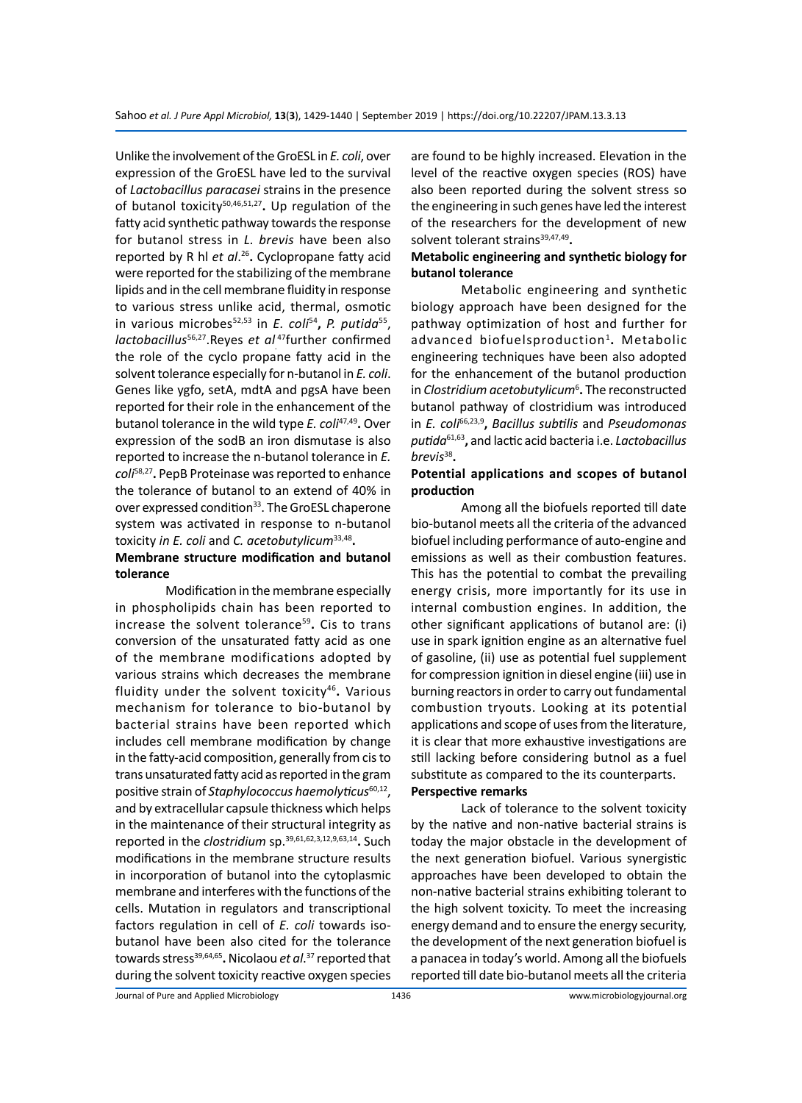Unlike the involvement of the GroESL in *E. coli*, over expression of the GroESL have led to the survival of *Lactobacillus paracasei* strains in the presence of butanol toxicity50,46,51,27**.** Up regulation of the fatty acid synthetic pathway towards the response for butanol stress in *L. brevis* have been also reported by R hl *et al*. <sup>26</sup>**.** Cyclopropane fatty acid were reported for the stabilizing of the membrane lipids and in the cell membrane fluidity in response to various stress unlike acid, thermal, osmotic in various microbes52,53 in *E. coli*<sup>54</sup>**,** *P. putida*55, *lactobacillus*56,27.Reyes *et al.* <sup>47</sup>further confirmed the role of the cyclo propane fatty acid in the solvent tolerance especially for n-butanol in *E. coli*. Genes like ygfo, setA, mdtA and pgsA have been reported for their role in the enhancement of the butanol tolerance in the wild type *E. coli*47,49**.** Over expression of the sodB an iron dismutase is also reported to increase the n-butanol tolerance in *E. coli*58,27**.** PepB Proteinase was reported to enhance the tolerance of butanol to an extend of 40% in over expressed condition<sup>33</sup>. The GroESL chaperone system was activated in response to n-butanol toxicity *in E. coli* and *C. acetobutylicum*33,48**.**

# **Membrane structure modification and butanol tolerance**

Modification in the membrane especially in phospholipids chain has been reported to increase the solvent tolerance<sup>59</sup>. Cis to trans conversion of the unsaturated fatty acid as one of the membrane modifications adopted by various strains which decreases the membrane fluidity under the solvent toxicity46**.** Various mechanism for tolerance to bio-butanol by bacterial strains have been reported which includes cell membrane modification by change in the fatty-acid composition, generally from cis to trans unsaturated fatty acid as reported in the gram positive strain of *Staphylococcus haemolyticus*60,12, and by extracellular capsule thickness which helps in the maintenance of their structural integrity as reported in the *clostridium* sp.39,61,62,3,12,9,63,14**.** Such modifications in the membrane structure results in incorporation of butanol into the cytoplasmic membrane and interferes with the functions of the cells. Mutation in regulators and transcriptional factors regulation in cell of *E. coli* towards isobutanol have been also cited for the tolerance towards stress<sup>39,64,65</sup>. Nicolaou *et al*.<sup>37</sup> reported that during the solvent toxicity reactive oxygen species

are found to be highly increased. Elevation in the level of the reactive oxygen species (ROS) have also been reported during the solvent stress so the engineering in such genes have led the interest of the researchers for the development of new solvent tolerant strains<sup>39,47,49</sup>.

#### **Metabolic engineering and synthetic biology for butanol tolerance**

Metabolic engineering and synthetic biology approach have been designed for the pathway optimization of host and further for advanced biofuelsproduction1**.** Metabolic engineering techniques have been also adopted for the enhancement of the butanol production in *Clostridium acetobutylicum*<sup>6</sup> **.** The reconstructed butanol pathway of clostridium was introduced in *E. coli*66,23,9**,** *Bacillus subtilis* and *Pseudomonas putida*61,63**,** and lactic acid bacteria i.e. *Lactobacillus brevis*<sup>38</sup>**.**

### **Potential applications and scopes of butanol production**

Among all the biofuels reported till date bio-butanol meets all the criteria of the advanced biofuel including performance of auto-engine and emissions as well as their combustion features. This has the potential to combat the prevailing energy crisis, more importantly for its use in internal combustion engines. In addition, the other significant applications of butanol are: (i) use in spark ignition engine as an alternative fuel of gasoline, (ii) use as potential fuel supplement for compression ignition in diesel engine (iii) use in burning reactors in order to carry out fundamental combustion tryouts. Looking at its potential applications and scope of uses from the literature, it is clear that more exhaustive investigations are still lacking before considering butnol as a fuel substitute as compared to the its counterparts.

### **Perspective remarks**

Lack of tolerance to the solvent toxicity by the native and non-native bacterial strains is today the major obstacle in the development of the next generation biofuel. Various synergistic approaches have been developed to obtain the non-native bacterial strains exhibiting tolerant to the high solvent toxicity. To meet the increasing energy demand and to ensure the energy security, the development of the next generation biofuel is a panacea in today's world. Among all the biofuels reported till date bio-butanol meets all the criteria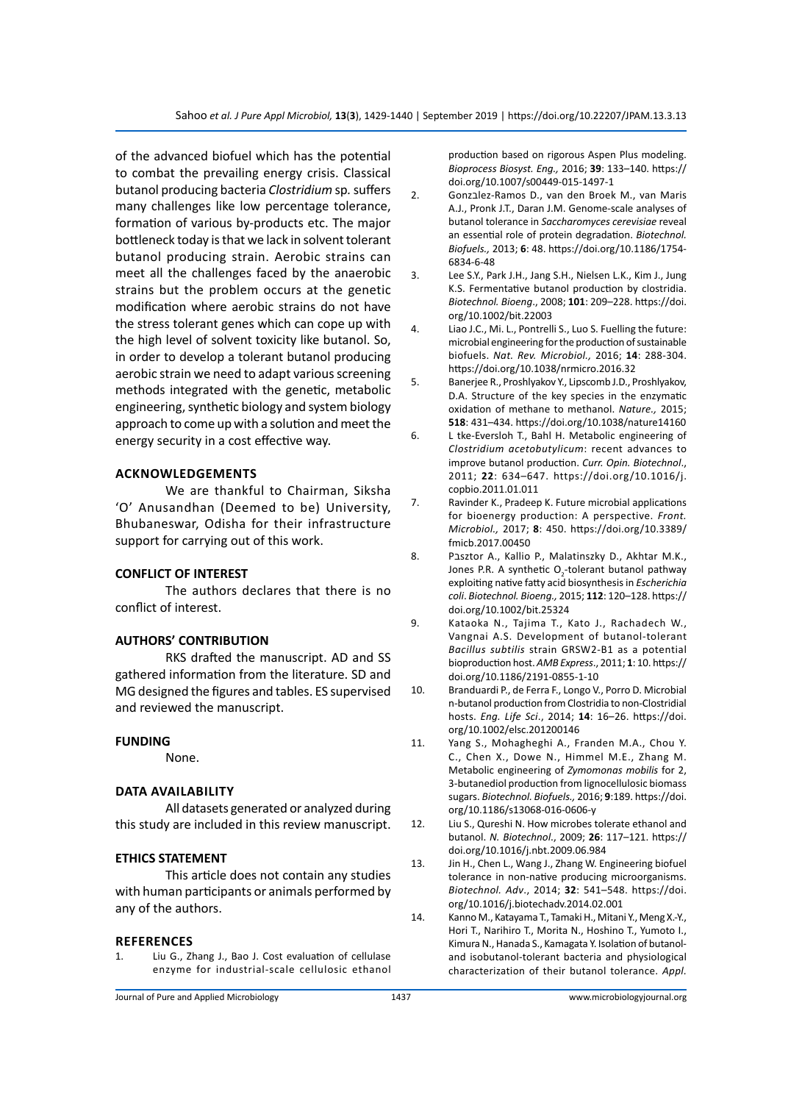of the advanced biofuel which has the potential to combat the prevailing energy crisis. Classical butanol producing bacteria *Clostridium* sp*.* suffers many challenges like low percentage tolerance, formation of various by-products etc. The major bottleneck today is that we lack in solvent tolerant butanol producing strain. Aerobic strains can meet all the challenges faced by the anaerobic strains but the problem occurs at the genetic modification where aerobic strains do not have the stress tolerant genes which can cope up with the high level of solvent toxicity like butanol. So, in order to develop a tolerant butanol producing aerobic strain we need to adapt various screening methods integrated with the genetic, metabolic engineering, synthetic biology and system biology approach to come up with a solution and meet the energy security in a cost effective way.

#### **ACKNOWLEDGEMENTS**

We are thankful to Chairman, Siksha 'O' Anusandhan (Deemed to be) University, Bhubaneswar, Odisha for their infrastructure support for carrying out of this work.

## **CONFLICT OF INTEREST**

The authors declares that there is no conflict of interest.

#### **AUTHORS' CONTRIBUTION**

RKS drafted the manuscript. AD and SS gathered information from the literature. SD and MG designed the figures and tables. ES supervised and reviewed the manuscript.

#### **FUNDING**

None.

#### **DATA AVAILABILITY**

All datasets generated or analyzed during this study are included in this review manuscript.

# **ETHICS STATEMENT**

This article does not contain any studies with human participants or animals performed by any of the authors.

#### **References**

1. Liu G., Zhang J., Bao J. Cost evaluation of cellulase enzyme for industrial-scale cellulosic ethanol production based on rigorous Aspen Plus modeling. *Bioprocess Biosyst. Eng.,* 2016; **39**: 133–140. https:// doi.org/10.1007/s00449-015-1497-1

- 2. Gonzבlez-Ramos D., van den Broek M., van Maris A.J., Pronk J.T., Daran J.M. Genome-scale analyses of butanol tolerance in *Saccharomyces cerevisiae* reveal an essential role of protein degradation. *Biotechnol. Biofuels.,* 2013; **6**: 48. https://doi.org/10.1186/1754- 6834-6-48
- 3. Lee S.Y., Park J.H., Jang S.H., Nielsen L.K., Kim J., Jung K.S. Fermentative butanol production by clostridia. *Biotechnol. Bioeng*., 2008; **101**: 209–228. https://doi. org/10.1002/bit.22003
- 4. Liao J.C., Mi. L., Pontrelli S., Luo S. Fuelling the future: microbial engineering for the production of sustainable biofuels. *Nat. Rev. Microbiol.,* 2016; **14**: 288-304. https://doi.org/10.1038/nrmicro.2016.32
- 5. Banerjee R., Proshlyakov Y., Lipscomb J.D., Proshlyakov, D.A. Structure of the key species in the enzymatic oxidation of methane to methanol. *Nature.,* 2015; **518**: 431–434. https://doi.org/10.1038/nature14160
- 6. L tke-Eversloh T., Bahl H. Metabolic engineering of *Clostridium acetobutylicum*: recent advances to improve butanol production. *Curr. Opin. Biotechnol*., 2011; **22**: 634–647. https://doi.org/10.1016/j. copbio.2011.01.011
- 7. Ravinder K., Pradeep K. Future microbial applications for bioenergy production: A perspective. *Front. Microbiol.,* 2017; **8**: 450. https://doi.org/10.3389/ fmicb.2017.00450
- 8. Pבsztor A., Kallio P., Malatinszky D., Akhtar M.K., Jones P.R. A synthetic  $O_2$ -tolerant butanol pathway exploiting native fatty acid biosynthesis in *Escherichia coli*. *Biotechnol. Bioeng.,* 2015; **112**: 120–128. https:// doi.org/10.1002/bit.25324
- 9. Kataoka N., Tajima T., Kato J., Rachadech W., Vangnai A.S. Development of butanol-tolerant *Bacillus subtilis* strain GRSW2-B1 as a potential bioproduction host. *AMB Express*., 2011; **1**: 10. https:// doi.org/10.1186/2191-0855-1-10
- 10. Branduardi P., de Ferra F., Longo V., Porro D. Microbial n-butanol production from Clostridia to non-Clostridial hosts. *Eng. Life Sci*., 2014; **14**: 16–26. https://doi. org/10.1002/elsc.201200146
- 11. Yang S., Mohagheghi A., Franden M.A., Chou Y. C., Chen X., Dowe N., Himmel M.E., Zhang M. Metabolic engineering of *Zymomonas mobilis* for 2, 3-butanediol production from lignocellulosic biomass sugars. *Biotechnol. Biofuels.,* 2016; **9**:189. https://doi. org/10.1186/s13068-016-0606-y
- 12. Liu S., Qureshi N. How microbes tolerate ethanol and butanol. *N. Biotechnol*., 2009; **26**: 117–121. https:// doi.org/10.1016/j.nbt.2009.06.984
- 13. Jin H., Chen L., Wang J., Zhang W. Engineering biofuel tolerance in non-native producing microorganisms. *Biotechnol. Adv*., 2014; **32**: 541–548. https://doi. org/10.1016/j.biotechadv.2014.02.001
- 14. Kanno M., Katayama T., Tamaki H., Mitani Y., Meng X.-Y., Hori T., Narihiro T., Morita N., Hoshino T., Yumoto I., Kimura N., Hanada S., Kamagata Y. Isolation of butanoland isobutanol-tolerant bacteria and physiological characterization of their butanol tolerance. *Appl.*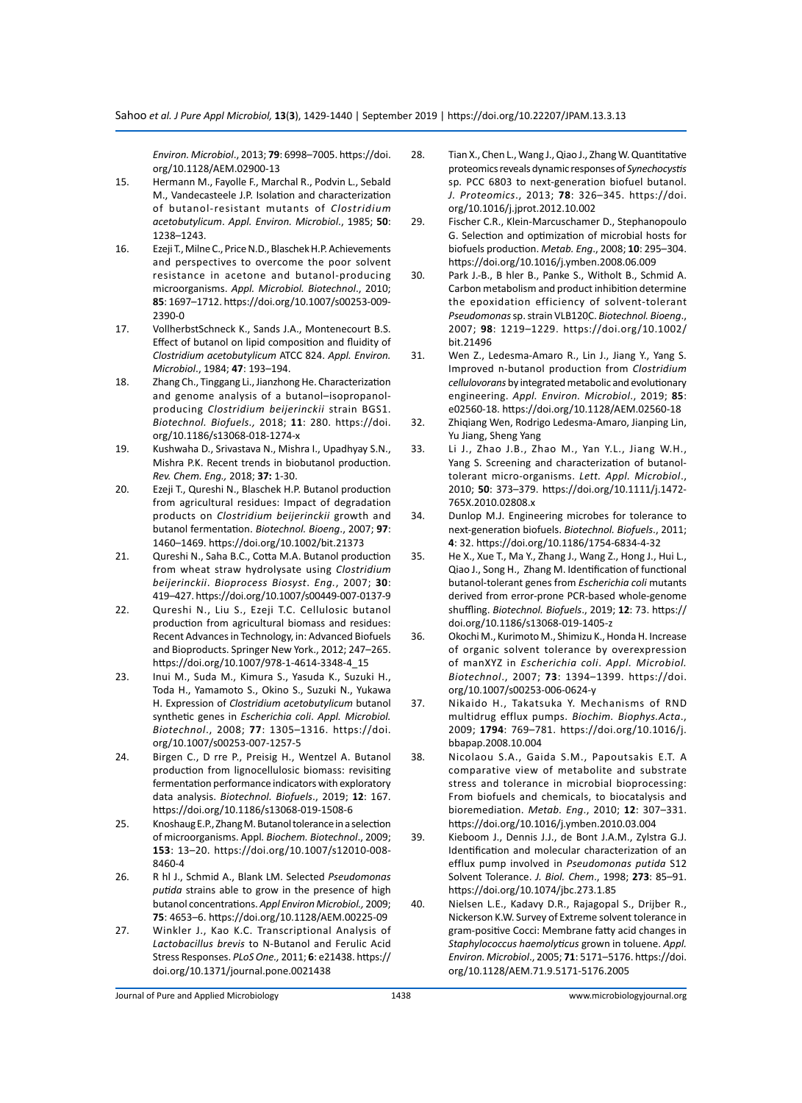*Environ. Microbiol*., 2013; **79**: 6998–7005. https://doi. org/10.1128/AEM.02900-13

- 15. Hermann M., Fayolle F., Marchal R., Podvin L., Sebald M., Vandecasteele J.P. Isolation and characterization of butanol-resistant mutants of *Clostridium acetobutylicum*. *Appl. Environ. Microbiol*., 1985; **50**: 1238–1243.
- 16. Ezeji T., Milne C., Price N.D., Blaschek H.P. Achievements and perspectives to overcome the poor solvent resistance in acetone and butanol-producing microorganisms. *Appl. Microbiol. Biotechnol*., 2010; **85**: 1697–1712. https://doi.org/10.1007/s00253-009- 2390-0
- 17. VollherbstSchneck K., Sands J.A., Montenecourt B.S. Effect of butanol on lipid composition and fluidity of *Clostridium acetobutylicum* ATCC 824. *Appl. Environ. Microbiol*., 1984; **47**: 193–194.
- 18. Zhang Ch., Tinggang Li., Jianzhong He. Characterization and genome analysis of a butanol–isopropanolproducing *Clostridium beijerinckii* strain BGS1. *Biotechnol. Biofuels.,* 2018; **11**: 280. https://doi. org/10.1186/s13068-018-1274-x
- 19. Kushwaha D., Srivastava N., Mishra I., Upadhyay S.N., Mishra P.K. Recent trends in biobutanol production. *Rev. Chem. Eng.,* 2018; **37:** 1-30.
- 20. Ezeji T., Qureshi N., Blaschek H.P. Butanol production from agricultural residues: Impact of degradation products on *Clostridium beijerinckii* growth and butanol fermentation. *Biotechnol. Bioeng*., 2007; **97**: 1460–1469. https://doi.org/10.1002/bit.21373
- 21. Qureshi N., Saha B.C., Cotta M.A. Butanol production from wheat straw hydrolysate using *Clostridium beijerinckii*. *Bioprocess Biosyst*. *Eng.*, 2007; **30**: 419–427. https://doi.org/10.1007/s00449-007-0137-9
- 22. Qureshi N., Liu S., Ezeji T.C. Cellulosic butanol production from agricultural biomass and residues: Recent Advances in Technology, in: Advanced Biofuels and Bioproducts. Springer New York., 2012; 247–265. https://doi.org/10.1007/978-1-4614-3348-4\_15
- 23. Inui M., Suda M., Kimura S., Yasuda K., Suzuki H., Toda H., Yamamoto S., Okino S., Suzuki N., Yukawa H. Expression of *Clostridium acetobutylicum* butanol synthetic genes in *Escherichia coli*. *Appl. Microbiol. Biotechnol*., 2008; **77**: 1305–1316. https://doi. org/10.1007/s00253-007-1257-5
- 24. Birgen C., D rre P., Preisig H., Wentzel A. Butanol production from lignocellulosic biomass: revisiting fermentation performance indicators with exploratory data analysis. *Biotechnol. Biofuels*., 2019; **12**: 167. https://doi.org/10.1186/s13068-019-1508-6
- 25. Knoshaug E.P., Zhang M. Butanol tolerance in a selection of microorganisms. Appl*. Biochem. Biotechnol*., 2009; **153**: 13–20. https://doi.org/10.1007/s12010-008- 8460-4
- 26. R hl J., Schmid A., Blank LM. Selected *Pseudomonas putida* strains able to grow in the presence of high butanol concentrations. *Appl Environ Microbiol.,* 2009; **75**: 4653–6. https://doi.org/10.1128/AEM.00225-09
- 27. Winkler J., Kao K.C. Transcriptional Analysis of *Lactobacillus brevis* to N-Butanol and Ferulic Acid Stress Responses. *PLoS One.,* 2011; **6**: e21438. https:// doi.org/10.1371/journal.pone.0021438
- 28. Tian X., Chen L., Wang J., Qiao J., Zhang W. Quantitative proteomics reveals dynamic responses of *Synechocystis*  sp*.* PCC 6803 to next-generation biofuel butanol. *J. Proteomics*., 2013; **78**: 326–345. https://doi. org/10.1016/j.jprot.2012.10.002
- 29. Fischer C.R., Klein-Marcuschamer D., Stephanopoulo G. Selection and optimization of microbial hosts for biofuels production. *Metab. Eng*., 2008; **10**: 295–304. https://doi.org/10.1016/j.ymben.2008.06.009
- 30. Park J.-B., B hler B., Panke S., Witholt B., Schmid A. Carbon metabolism and product inhibition determine the epoxidation efficiency of solvent-tolerant *Pseudomonas* sp. strain VLB120ִC. *Biotechnol. Bioeng*., 2007; **98**: 1219–1229. https://doi.org/10.1002/ bit.21496
- 31. Wen Z., Ledesma-Amaro R., Lin J., Jiang Y., Yang S. Improved n-butanol production from *Clostridium cellulovorans* by integrated metabolic and evolutionary engineering. *Appl. Environ. Microbiol*., 2019; **85**: e02560-18. https://doi.org/10.1128/AEM.02560-18
- 32. Zhiqiang Wen, Rodrigo Ledesma-Amaro, Jianping Lin, Yu Jiang, Sheng Yang
- 33. Li J., Zhao J.B., Zhao M., Yan Y.L., Jiang W.H., Yang S. Screening and characterization of butanoltolerant micro-organisms. *Lett. Appl. Microbiol*., 2010; **50**: 373–379. https://doi.org/10.1111/j.1472- 765X.2010.02808.x
- 34. Dunlop M.J. Engineering microbes for tolerance to next-generation biofuels. *Biotechnol. Biofuels*., 2011; **4**: 32. https://doi.org/10.1186/1754-6834-4-32
- 35. He X., Xue T., Ma Y., Zhang J., Wang Z., Hong J., Hui L., Qiao J., Song H., Zhang M. Identification of functional butanol-tolerant genes from *Escherichia coli* mutants derived from error-prone PCR-based whole-genome shuffling. *Biotechnol. Biofuels*., 2019; **12**: 73. https:// doi.org/10.1186/s13068-019-1405-z
- 36. Okochi M., Kurimoto M., Shimizu K., Honda H. Increase of organic solvent tolerance by overexpression of manXYZ in *Escherichia coli*. *Appl. Microbiol. Biotechnol*., 2007; **73**: 1394–1399. https://doi. org/10.1007/s00253-006-0624-y
- 37. Nikaido H., Takatsuka Y. Mechanisms of RND multidrug efflux pumps. *Biochim. Biophys.Acta*., 2009; **1794**: 769–781. https://doi.org/10.1016/j. bbapap.2008.10.004
- 38. Nicolaou S.A., Gaida S.M., Papoutsakis E.T. A comparative view of metabolite and substrate stress and tolerance in microbial bioprocessing: From biofuels and chemicals, to biocatalysis and bioremediation. *Metab. Eng*., 2010; **12**: 307–331. https://doi.org/10.1016/j.ymben.2010.03.004
- 39. Kieboom J., Dennis J.J., de Bont J.A.M., Zylstra G.J. Identification and molecular characterization of an efflux pump involved in *Pseudomonas putida* S12 Solvent Tolerance. *J. Biol. Chem*., 1998; **273**: 85–91. https://doi.org/10.1074/jbc.273.1.85
- 40. Nielsen L.E., Kadavy D.R., Rajagopal S., Drijber R., Nickerson K.W. Survey of Extreme solvent tolerance in gram-positive Cocci: Membrane fatty acid changes in *Staphylococcus haemolyticus* grown in toluene. *Appl. Environ. Microbiol*., 2005; **71**: 5171–5176. https://doi. org/10.1128/AEM.71.9.5171-5176.2005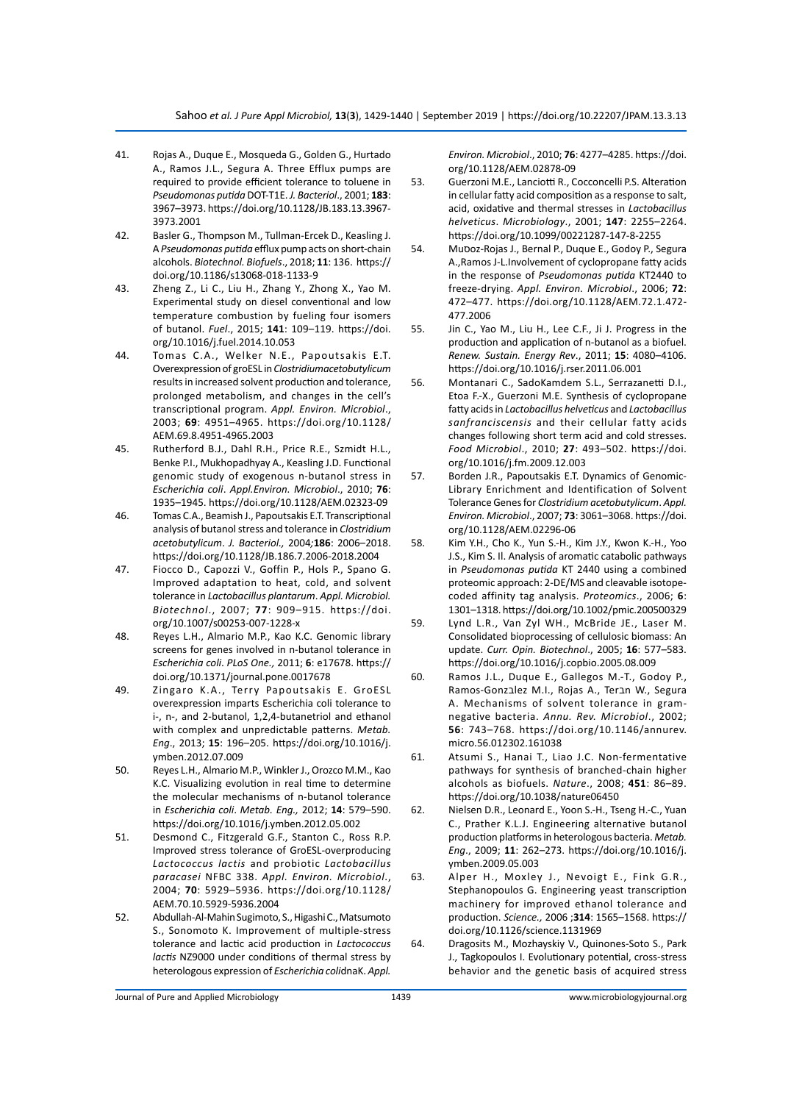- 41. Rojas A., Duque E., Mosqueda G., Golden G., Hurtado A., Ramos J.L., Segura A. Three Efflux pumps are required to provide efficient tolerance to toluene in *Pseudomonas putida* DOT-T1E. *J. Bacteriol*., 2001; **183**: 3967–3973. https://doi.org/10.1128/JB.183.13.3967- 3973.2001
- 42. Basler G., Thompson M., Tullman-Ercek D., Keasling J. A *Pseudomonas putida* efflux pump acts on short-chain alcohols. *Biotechnol. Biofuels*., 2018; **11**: 136. https:// doi.org/10.1186/s13068-018-1133-9
- 43. Zheng Z., Li C., Liu H., Zhang Y., Zhong X., Yao M. Experimental study on diesel conventional and low temperature combustion by fueling four isomers of butanol. *Fuel*., 2015; **141**: 109–119. https://doi. org/10.1016/j.fuel.2014.10.053
- 44. Tomas C.A., Welker N.E., Papoutsakis E.T. Overexpression of groESL in *Clostridiumacetobutylicum* results in increased solvent production and tolerance, prolonged metabolism, and changes in the cell's transcriptional program. *Appl. Environ. Microbiol*., 2003; **69**: 4951–4965. https://doi.org/10.1128/ AEM.69.8.4951-4965.2003
- 45. Rutherford B.J., Dahl R.H., Price R.E., Szmidt H.L., Benke P.I., Mukhopadhyay A., Keasling J.D. Functional genomic study of exogenous n-butanol stress in *Escherichia coli*. *Appl.Environ. Microbiol*., 2010; **76**: 1935–1945. https://doi.org/10.1128/AEM.02323-09
- 46. Tomas C.A., Beamish J., Papoutsakis E.T. Transcriptional analysis of butanol stress and tolerance in *Clostridium acetobutylicum*. *J. Bacteriol.,* 2004*;***186**: 2006–2018. https://doi.org/10.1128/JB.186.7.2006-2018.2004
- 47. Fiocco D., Capozzi V., Goffin P., Hols P., Spano G. Improved adaptation to heat, cold, and solvent tolerance in *Lactobacillus plantarum*. *Appl. Microbiol. Biotechnol*., 2007; **77**: 909–915. https://doi. org/10.1007/s00253-007-1228-x
- 48. Reyes L.H., Almario M.P., Kao K.C. Genomic library screens for genes involved in n-butanol tolerance in *Escherichia coli*. *PLoS One.,* 2011; **6**: e17678. https:// doi.org/10.1371/journal.pone.0017678
- 49. Zingaro K.A., Terry Papoutsakis E. GroESL overexpression imparts Escherichia coli tolerance to i-, n-, and 2-butanol, 1,2,4-butanetriol and ethanol with complex and unpredictable patterns. *Metab. Eng*., 2013; **15**: 196–205. https://doi.org/10.1016/j. ymben.2012.07.009
- 50. Reyes L.H., Almario M.P., Winkler J., Orozco M.M., Kao K.C. Visualizing evolution in real time to determine the molecular mechanisms of n-butanol tolerance in *Escherichia coli*. *Metab. Eng.,* 2012; **14**: 579–590. https://doi.org/10.1016/j.ymben.2012.05.002
- 51. Desmond C., Fitzgerald G.F., Stanton C., Ross R.P. Improved stress tolerance of GroESL-overproducing *Lactococcus lactis* and probiotic *Lactobacillus paracasei* NFBC 338. *Appl. Environ. Microbiol*., 2004; **70**: 5929–5936. https://doi.org/10.1128/ AEM.70.10.5929-5936.2004
- 52. Abdullah-Al-Mahin Sugimoto, S., Higashi C., Matsumoto S., Sonomoto K. Improvement of multiple-stress tolerance and lactic acid production in *Lactococcus lactis* NZ9000 under conditions of thermal stress by heterologous expression of *Escherichia coli*dnaK. *Appl.*

*Environ. Microbiol*., 2010; **76**: 4277–4285. https://doi. org/10.1128/AEM.02878-09

- 53. Guerzoni M.E., Lanciotti R., Cocconcelli P.S. Alteration in cellular fatty acid composition as a response to salt, acid, oxidative and thermal stresses in *Lactobacillus helveticus*. *Microbiology*., 2001; **147**: 2255–2264. https://doi.org/10.1099/00221287-147-8-2255
- 54. Muסoz-Rojas J., Bernal P., Duque E., Godoy P., Segura A.,Ramos J-L.Involvement of cyclopropane fatty acids in the response of *Pseudomonas putida* KT2440 to freeze-drying. *Appl. Environ. Microbiol*., 2006; **72**: 472–477. https://doi.org/10.1128/AEM.72.1.472- 477.2006
- 55. Jin C., Yao M., Liu H., Lee C.F., Ji J. Progress in the production and application of n-butanol as a biofuel. *Renew. Sustain. Energy Rev*., 2011; **15**: 4080–4106. https://doi.org/10.1016/j.rser.2011.06.001
- 56. Montanari C., SadoKamdem S.L., Serrazanetti D.I., Etoa F.-X., Guerzoni M.E. Synthesis of cyclopropane fatty acids in *Lactobacillus helveticus* and *Lactobacillus sanfranciscensis* and their cellular fatty acids changes following short term acid and cold stresses. *Food Microbiol*., 2010; **27**: 493–502. https://doi. org/10.1016/j.fm.2009.12.003
- 57. Borden J.R., Papoutsakis E.T. Dynamics of Genomic-Library Enrichment and Identification of Solvent Tolerance Genes for *Clostridium acetobutylicum*. *Appl. Environ. Microbiol*., 2007; **73**: 3061–3068. https://doi. org/10.1128/AEM.02296-06
- 58. Kim Y.H., Cho K., Yun S.-H., Kim J.Y., Kwon K.-H., Yoo J.S., Kim S. Il. Analysis of aromatic catabolic pathways in *Pseudomonas putida* KT 2440 using a combined proteomic approach: 2-DE/MS and cleavable isotopecoded affinity tag analysis. *Proteomics*., 2006; **6**: 1301–1318. https://doi.org/10.1002/pmic.200500329
- 59. Lynd L.R., Van Zyl WH., McBride JE., Laser M. Consolidated bioprocessing of cellulosic biomass: An update. *Curr. Opin. Biotechnol*., 2005; **16**: 577–583. https://doi.org/10.1016/j.copbio.2005.08.009
- 60. Ramos J.L., Duque E., Gallegos M.-T., Godoy P., Ramos-Gonzבlez M.I., Rojas A., Terבn W., Segura A. Mechanisms of solvent tolerance in gramnegative bacteria. *Annu. Rev. Microbiol*., 2002; **56**: 743–768. https://doi.org/10.1146/annurev. micro.56.012302.161038
- 61. Atsumi S., Hanai T., Liao J.C. Non-fermentative pathways for synthesis of branched-chain higher alcohols as biofuels. *Nature*., 2008; **451**: 86–89. https://doi.org/10.1038/nature06450
- 62. Nielsen D.R., Leonard E., Yoon S.-H., Tseng H.-C., Yuan C., Prather K.L.J. Engineering alternative butanol production platforms in heterologous bacteria. *Metab. Eng*., 2009; **11**: 262–273. https://doi.org/10.1016/j. ymben.2009.05.003
- 63. Alper H., Moxley J., Nevoigt E., Fink G.R., Stephanopoulos G. Engineering yeast transcription machinery for improved ethanol tolerance and production. *Science.,* 2006 ;**314**: 1565–1568. https:// doi.org/10.1126/science.1131969
- 64. Dragosits M., Mozhayskiy V., Quinones-Soto S., Park J., Tagkopoulos I. Evolutionary potential, cross-stress behavior and the genetic basis of acquired stress